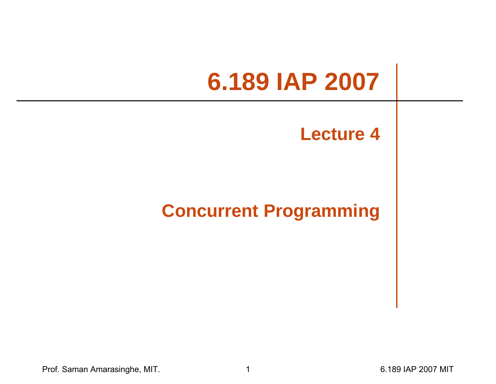# **6.189 IAP 2007**

#### **Lecture 4**

#### **Concurrent Programming**

Prof. Saman Amarasinghe, MIT. 1 6.189 IAP 2007 MIT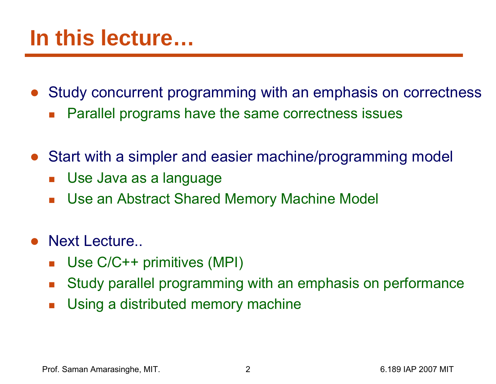### **In this lecture…**

- $\bullet$  Study concurrent programming with an emphasis on correctness  $\mathcal{L}_{\mathcal{A}}$ Parallel programs have the same correctness issues
- $\bullet$  Start with a simpler and easier machine/programming model
	- F Use Java as a language
	- $\mathcal{L}_{\mathcal{A}}$ Use an Abstract Shared Memory Machine Model
- $\bullet$  Next Lecture..
	- $\mathcal{L}_{\mathcal{A}}$ Use C/C++ primitives (MPI)
	- $\mathbb{R}^3$ Study parallel programming with an emphasis on performance
	- $\mathcal{L}_{\mathcal{A}}$ Using a distributed memory machine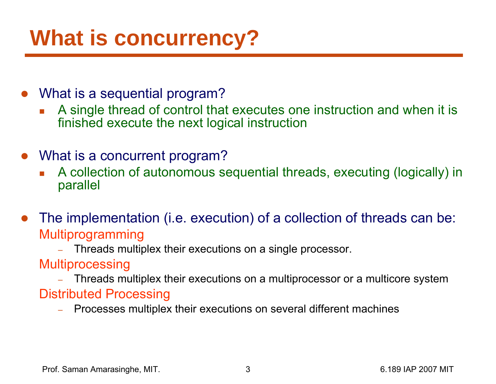## **What is concurrency?**

- $\bullet$  What is a sequential program?
	- A single thread of control that executes one instruction and when it is finished execute the next logical instruction
- What is a concurrent program?
	- П A collection of autonomous sequential threads, executing (logically) in parallel
- $\bullet$  The implementation (i.e. execution) of a collection of threads can be: Multiprogramming
	- Threads multiplex their executions on a single processor.
	- **Multiprocessing**
	- Threads multiplex their executions on a multiprocessor or a multicore system Distributed Processing
		- Processes multiplex their executions on several different machines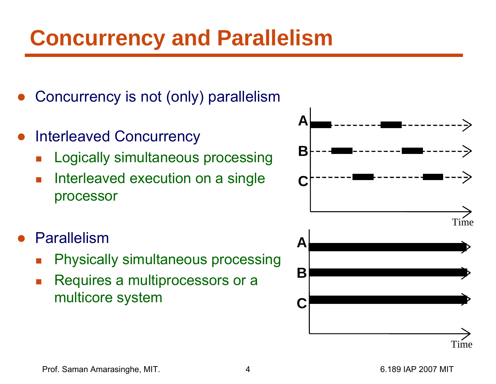# **Concurrency and Parallelism**

- ●Concurrency is not (only) parallelism
- ● Interleaved Concurrency
	- $\overline{\mathbb{R}}$ Logically simultaneous processing
	- k. Interleaved execution on a single processor
- ● Parallelism
	- $\overline{\mathbb{R}}$ Physically simultaneous processing
	- k. Requires a multiprocessors or a multicore system

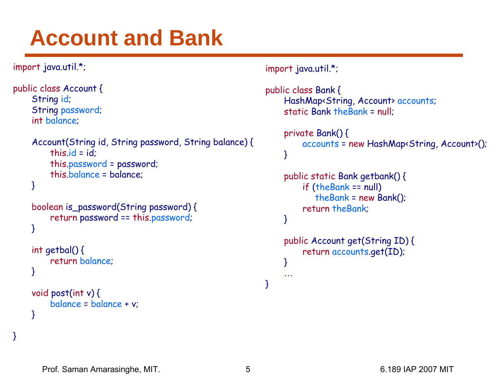## **Account and Bank**

```
import java.util.*;
```

```
public class Account {
    String id; 
    String password;
    int balance;
    Account(String id, String password, String balance) {
        this.id = id:
        this.password = password;
        this.balance = balance;
    }
    boolean is_password(String password) {
        return password == this.password;
    }
```

```
int getbal() \{return balance;
}
```
}

```
void post(int v) {
     balance = balance + v;
}
```

```
import java.util.*;
```

```
public class Bank {
    HashMap<String, Account> accounts;
    static Bank theBank = null;
    private Bank() {
         accounts = new HashMap<String, Account>();
    }
    public static Bank getbank() {
        if (theBank == null)
            theBank = new Bank();
        return theBank;
    }
    public Account get(String ID) {
        return accounts.get(ID);
    }
     …
```
}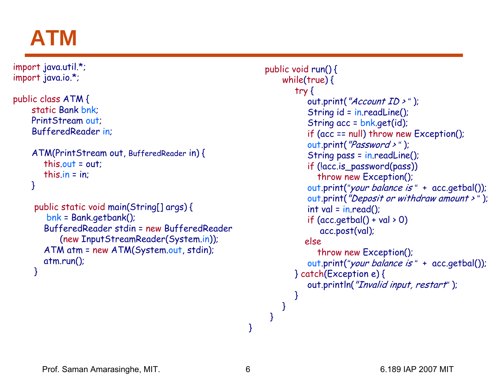### **ATM**

```
import java.util.*;
import java.io.*;
```

```
public class ATM {
    static Bank bnk;
    PrintStream out;
    BufferedReader in;
```

```
ATM(PrintStream out, BufferedReader in) {
  this.out = out;
  this.in = in:
```

```
}
```

```
public static void main(String[] args) {
   bnk = Bank.getbank();
  BufferedReader stdin = new BufferedReader
     (new InputStreamReader(System.in));
  ATM atm = new ATM(System.out, stdin);
  atm.run();
}
```

```
public void run() {
    while(true) {
        try
{
           out.print("Account ID > 
" );
           String id = in.readLine();
           String acc = bnk.get(id);
           if (acc == null) throw new Exception();
           out.print("Password >
" );
           String pass = in.readLine();
           if (!acc.is_password(pass)) 
              throw new Exception();
           out.print(
"your balance is 
" + acc.getbal());
           out.print("Deposit or withdraw amount > 
" );
           int val = in.read();
           if (acc.getbal() + val > 0)acc.post(val);
          elsethrow new Exception();
           out.print(
"your balance is 
" + acc.getbal());
       } catch(Exception e) {
           out.println("Invalid input, restart" );
       }
    }
 }
```
}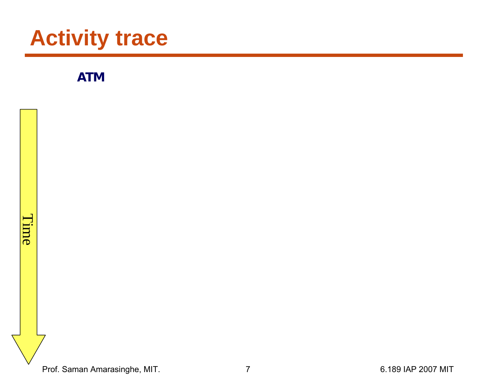**ATM** 



Prof. Saman Amarasinghe, MIT. 2007 1997 7 1992 12:33 139 147 148 159 16.189 16.189 16.189 16.189 16.189 16.189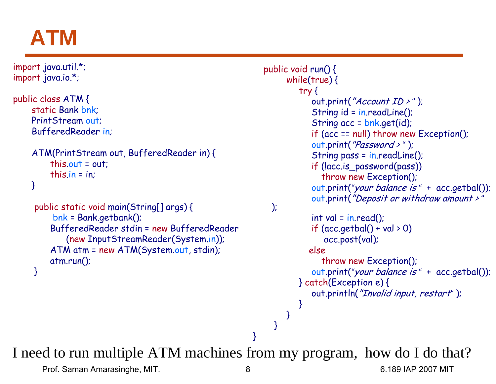### **ATM**

```
import java.util.*;
import java.io.*;
public class ATM {
     static Bank bnk;
    PrintStream out;
    BufferedReader in;
    ATM(PrintStream out, BufferedReader in) {
         this.out = out;
         this.in = in:
     }
     public static void main(String[] args) {
          bnk = Bank.getbank();
         BufferedReader stdin = new BufferedReader
             (new InputStreamReader(System.in));
         ATM atm = new ATM(System.out, stdin);
         atm.run();
     }
                                                             public void run() {
                                                                   while(true) {
                                                                      try
{
                                                                          out.print("Account ID > 
" );
                                                                         String id = in.readLine();
                                                                         String acc = bnk.get(id);
                                                                         if (acc == null) throw new Exception();
                                                                          out.print("Password >
" );
                                                                         String pass = in.readLine();
                                                                         if (!acc.is_password(pass)) 
                                                                            throw new Exception();
                                                                          out.print(
"your balance is 
" + acc.getbal());
                                                                          out.print("Deposit or withdraw amount > 
");
                                                                         int val = in.read();
                                                                         if (\text{acc.getbal}() + \text{val} > 0)acc.post(val);
                                                                        elsethrow new Exception();
                                                                          out.print(
"your balance is 
" + acc.getbal());
                                                                      } catch(Exception e) {
                                                                         out.println("Invalid input, restart" );
                                                                      }
                                                                   }
                                                                }
                                                           }
I need to run multiple ATM machines from my program, how do I do that?
```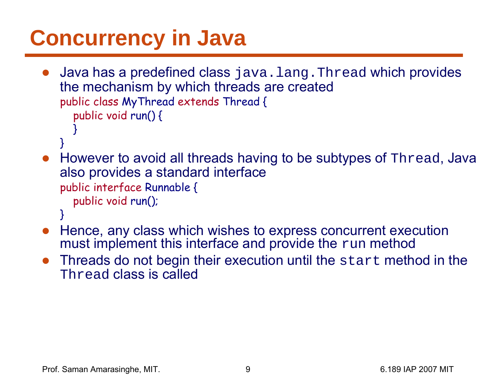# **Concurrency in Java**

- $\bullet$ Java has a predefined class java.lang. Thread which provides the mechanism by which threads are created public class MyThread extends Thread { public void run() { } }
- However to avoid all threads having to be subtypes of Thread, Java also provides a standard interface public interface Runnable { public void run();
	- }
- ● Hence, any class which wishes to express concurrent execution must implement this interface and provide the run method
- $\bullet$  Threads do not begin their execution until the start method in the Thread class is called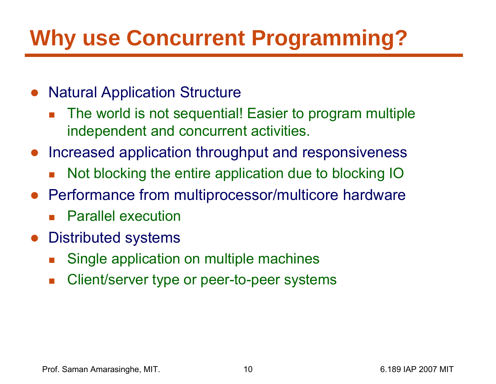# **Why use Concurrent Programming?**

- $\bullet$  Natural Application Structure
	- F. The world is not sequential! Easier to program multiple independent and concurrent activities.
- ● Increased application throughput and responsiveness
	- F Not blocking the entire application due to blocking IO
- Performance from multiprocessor/multicore hardware
	- $\mathcal{L}_{\text{max}}$ Parallel execution
- ● Distributed systems
	- F Single application on multiple machines
	- $\overline{\phantom{a}}$ Client/server type or peer-to-peer systems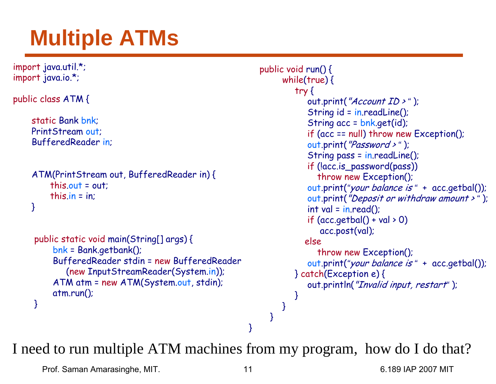# **Multiple ATMs**

```
import java.util.*;
import java.io.*;
public class ATM {
    static Bank bnk;
    PrintStream out;
    BufferedReader in;
    ATM(PrintStream out, BufferedReader in) {
         this.out = out;this.in = in;
    }
     public static void main(String[] args) {
          bnk = Bank.getbank();
         BufferedReader stdin = new BufferedReader
             (new InputStreamReader(System.in));
         ATM atm = new ATM(System.out, stdin);
         atm.run();
     }
                                                              public void run() {
                                                                   while(true) {
                                                                       try
{
                                                                          out.print("Account ID > 
" );
                                                                          String id = in.readLine();
                                                                          String acc = bnk.get(id);
                                                                          if (acc == null) throw new Exception();
                                                                          out.print("Password >
" );
                                                                          String pass = in.readLine();
                                                                          if (!acc.is_password(pass)) 
                                                                             throw new Exception();
                                                                          out.print(
"your balance is 
" + acc.getbal());
                                                                          out.print("Deposit or withdraw amount > 
" );
                                                                          int val = in.read();
                                                                          if (acc.getbal() + val > 0)acc.post(val);
                                                                         elsethrow new Exception();
                                                                          out.print(
"your balance is 
" + acc.getbal());
                                                                       } catch(Exception e) {
                                                                          out.println("Invalid input, restart" );
                                                                      }
                                                                   }
                                                                }
                                                           }
```
I need to run multiple ATM machines from my program, how do I do that?

Prof. Saman Amarasinghe, MIT. 11 6.189 IAP 2007 MIT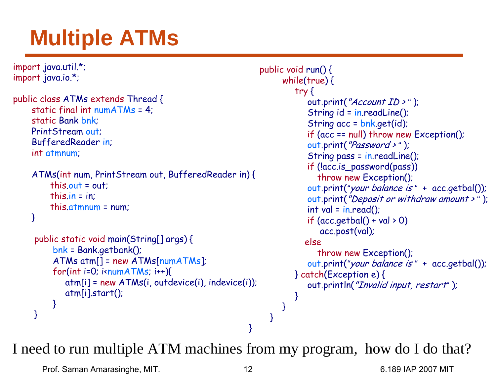# **Multiple ATMs**

```
import java.util.*;
import java.io.*;
public class ATMs extends Thread {
    static final int numATMs = 4;
     static Bank bnk;
    PrintStream out;
    BufferedReader in;
    int atmnum;
    ATMs(int num, PrintStream out, BufferedReader in) {
         this.out = out;this.in = in;
         this.atmnum = num;
    }
     public static void main(String[] args) {
          bnk = Bank.getbank();
          ATMs atm[] = new ATMs[numATMs];
          for(int i=0; i<br/>i-numATMs; i++){
            atm[i] = new ATMs(i, outdevice(i), indevice(i));
            atm[i].start();
          }
     }
                                                            public void run() {
                                                                  while(true) {
                                                                     try
{
                                                                        out.print("Account ID > 
" );
                                                                        String id = in.readLine();
                                                                        String acc = bnk.get(id);
                                                                        if (acc == null) throw new Exception();
                                                                        out.print("Password >
" );
                                                                        String pass = in.readLine();
                                                                        if (!acc.is_password(pass)) 
                                                                           throw new Exception();
                                                                        out.print(
"your balance is 
" + acc.getbal());
                                                                        out.print("Deposit or withdraw amount > 
" );
                                                                        int val = in.read();
                                                                        if (acc.getbal() + val > 0)acc.post(val);
                                                                       elsethrow new Exception();
                                                                        out.print(
"your balance is 
" + acc.getbal());
                                                                     } catch(Exception e) {
                                                                        out.println("Invalid input, restart" );
                                                                     }
                                                                  }
                                                               }
                                                          }
I need to run multiple ATM machines from my program, how do I do that?
```
Prof. Saman Amarasinghe, MIT. 12 12 6.189 IAP 2007 MIT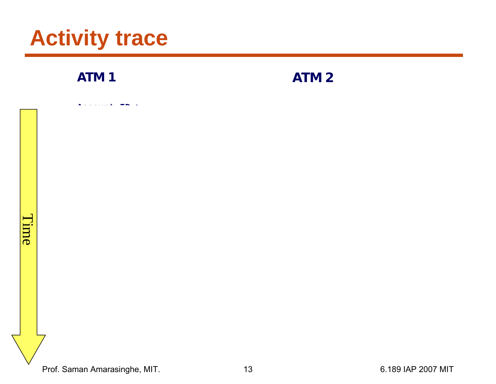**ATM 1**

**ATM 2**

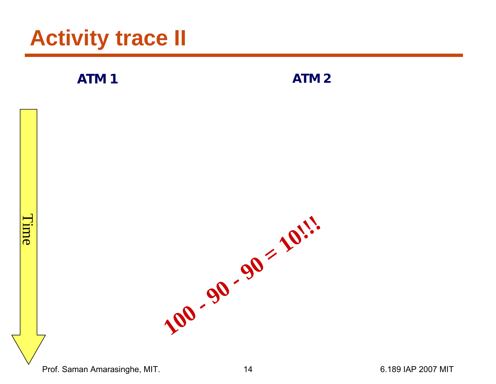**ATM 1**

**ATM 2**

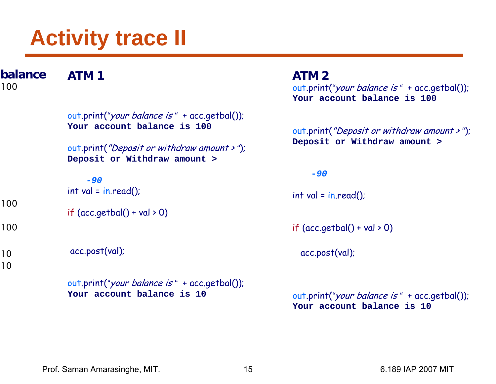**ATM 1**out.print( *"*your balance is *"* + acc.getbal()); **Your account balance is 100**out.print("Deposit or withdraw amount > *"*); **Deposit or Withdraw amount > -***90* $int val = in.read()$ ; if  $(\text{acc.getbal}() + \text{val} > 0)$ acc.post(val); out.print( *"*your balance is *"* + acc.getbal()); **Your account balance is 10ATM 2**out.print( *"*your balance is *"* + acc.getbal()); **Your account balance is 100**out.print("Deposit or withdraw amount > *"*); **Deposit or Withdraw amount > -***90* $int val = in.read()$ ; if  $(acc.getbal() + val > 0)$ acc.post(val); out.print( *"*your balance is *"* + acc.getbal()); **Your account balance is 10balance**1001001001010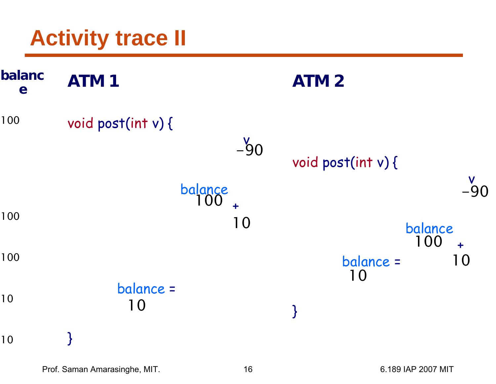| balanc<br>e | <b>ATM1</b>                 | <b>ATM2</b>                                 |
|-------------|-----------------------------|---------------------------------------------|
| 100         | void post(int v) {<br>$-90$ | void post(int v) {                          |
| 100         | balance<br>100<br>10        | $-90$<br>balance                            |
| 100         |                             | 100<br>$\ddotmark$<br>balance =<br>10<br>10 |
| 10          | balance =<br>10             | $\big\}$                                    |
| 10          | <b>}</b>                    |                                             |

Prof. Saman Amarasinghe, MIT. 16 6.189 IAP 2007 MIT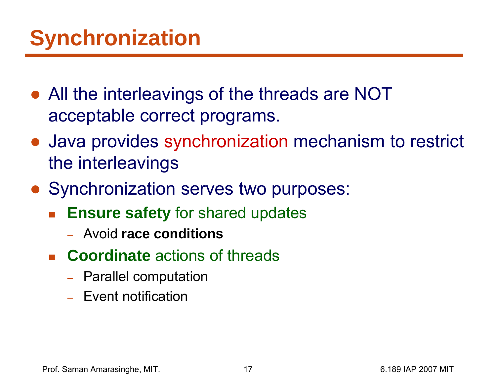- All the interleavings of the threads are NOT acceptable correct programs.
- Java provides synchronization mechanism to restrict the interleavings
- Synchronization serves two purposes:
	- b. **Ensure safety** for shared updates
		- Avoid **race conditions**
	- **Coordinate** actions of threads
		- –– Parallel computation
		- Event notification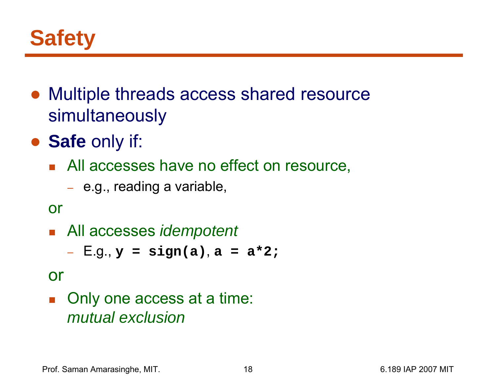

- Multiple threads access shared resource simultaneously
- **Safe** only if:
	- **All accesses have no effect on resource,** 
		- e.g., reading a variable,

```
or
```
All accesses *idempotent*

E.g., **y = sign(a)**, **a = a\*2;**

#### or

 $\mathbb{R}^n$  Only one access at a time: *mutual exclusion*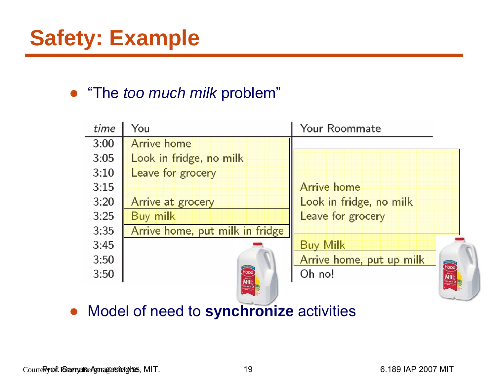#### ● "The *too much milk* problem"

| You                             | Your Roommate                    |
|---------------------------------|----------------------------------|
| Arrive home                     |                                  |
| Look in fridge, no milk         |                                  |
| Leave for grocery               |                                  |
|                                 | <b>Arrive home</b>               |
| Arrive at grocery               | Look in fridge, no milk          |
| <b>Buy milk</b>                 | Leave for grocery                |
| Arrive home, put milk in fridge |                                  |
|                                 | <b>Buy Milk</b>                  |
|                                 | Arrive home, put up milk<br>Hood |
|                                 | Oh no!                           |
|                                 |                                  |
|                                 | Hood                             |

 $\bullet$ Model of need to **synchronize** activities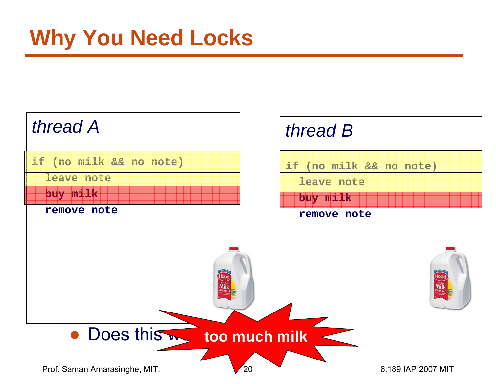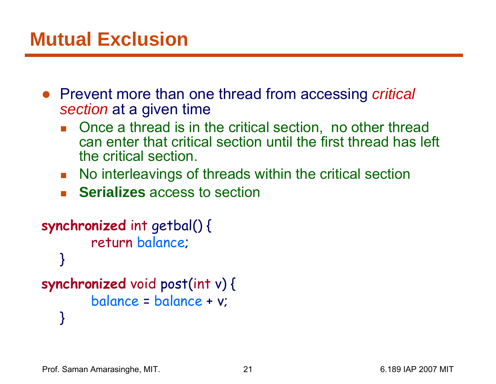#### **Mutual Exclusion**

- Prevent more than one thread from accessing *critical section* at a given time
	- H Once a thread is in the critical section, no other thread can enter that critical section until the first thread has left the critical section.
	- $\mathcal{L}_{\mathcal{A}}$ No interleavings of threads within the critical section
	- П **Serializes** access to section

```
synchronized int getbal() {
        return balance;
   }
synchronized void post(int v) {
        balance = balance + v;
   }
```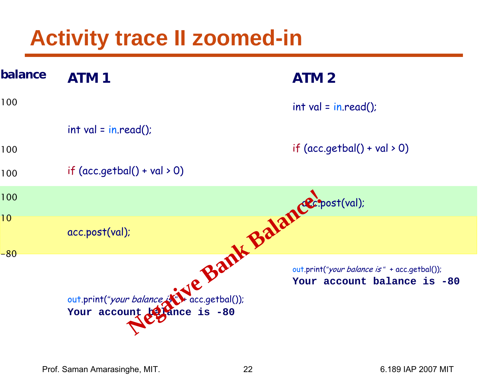## **Activity trace II zoomed-in**

| balance | <b>ATM1</b>                                                                                                 | <b>ATM2</b>                                                                  |
|---------|-------------------------------------------------------------------------------------------------------------|------------------------------------------------------------------------------|
| 100     |                                                                                                             | $int val = in.read()$                                                        |
|         | $int val = in.read()$                                                                                       |                                                                              |
| 100     |                                                                                                             | if $(\text{acc.getbal}() + \text{val} > 0)$                                  |
| 100     | if $(acc.getbal() + val > 0)$                                                                               |                                                                              |
| 100     |                                                                                                             |                                                                              |
| 10      | acc.post(val);                                                                                              |                                                                              |
| $-80$   | Je Bank Balance post(val):<br>out.print("your balance is the acc.getbal());<br>Your account to lance is -80 | out.print("your balance is " + acc.getbal());<br>Your account balance is -80 |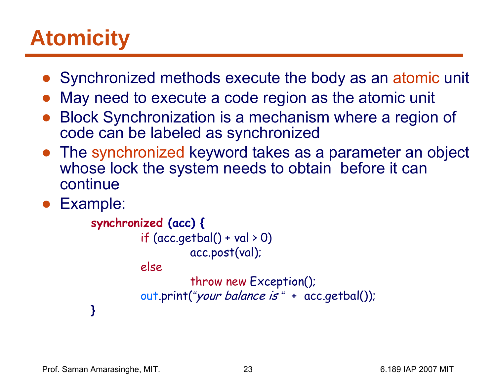# **Atomicity**

- Synchronized methods execute the body as an atomic unit
- ●May need to execute a code region as the atomic unit
- ● Block Synchronization is a mechanism where a region of code can be labeled as synchronized
- The synchronized keyword takes as a parameter an object whose lock the system needs to obtain before it can continue
- ●Example:

```
synchronized (acc) {
         if (acc.getbal() + val > 0)acc.post(val);
         elsethrow new Exception();
          out.print(
"your balance is 
" + acc.getbal());
}
```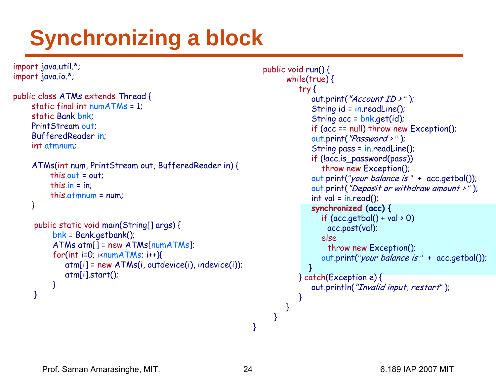# **Synchronizing a block**

```
import java.util.*;
import java.io.*;
public class ATMs extends Thread {
     static final int numATMs = 1;
     static Bank bnk;
    PrintStream out;
     BufferedReader in;
     int atmnum;
     ATMs(int num, PrintStream out, BufferedReader in) {
         this.out = out;
         this.in = in;
         this.atmnum = num;
    }
     public static void main(String[] args) {
           bnk = Bank.getbank();
          ATMs atm[] = new ATMs[numATMs];
          for(int i=0; i<br/>i-numATMs; i++){
              atm[i] = new ATMs(i, outdevice(i), indevice(i));
              atm[i].start();
          }
     }
                                                                    public void run() {
                                                                           while(true) {
                                                                              try {
                                                                                  out.print("Account ID > " );
                                                                                  String id = in.readLine();
                                                                                  String acc = bnk.get(id);
                                                                                  if (acc == null) throw new Exception();
                                                                                  out.print("Password >" );
                                                                                  String pass = in.readLine();
                                                                                  if (!acc.is_password(pass)) 
                                                                                     throw new Exception();
                                                                                  out.print("your balance is " + acc.getbal());
                                                                                  out.print("Deposit or withdraw amount > " );
                                                                                  int val = in.read();
                                                                                  synchronized (acc) {
                                                                                     if (\text{acc.getbal}() + \text{val} > 0)acc.post(val);
                                                                                     elsethrow new Exception();
                                                                                     out.print("your balance is " + acc.getbal());
                                                                                 }
                                                                              } catch(Exception e) {
                                                                                  out.println("Invalid input, restart" );
                                                                              }
                                                                           }
                                                                        }
                                                                  }
```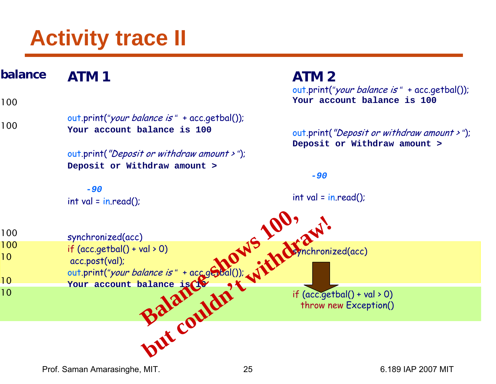**ATM 1**out.print( *"*your balance is *"* + acc.getbal()); **Your account balance is 100**out.print("Deposit or withdraw amount > *"*); **Deposit or Withdraw amount > -***90* int val = in.read(); synchronized(acc) if (acc.getbal() + val > 0) acc.post(val); out.print( *"*your balance is *"* + acc.getbal()); **Your account balance is 10 ATM 2**out.print( *"*your balance is *"* + acc.getbal()); **Your account balance is 100** out.print("Deposit or withdraw amount > *"*); **Deposit or Withdraw amount > -***90*int val = in.read(); synchronized(acc) if (acc.getbal() + val > 0) throw new Exception() **balance**100100100100101010val > 0)<br>alance is " + accessibal()); with the **but couldn't couldn't with the Couldn't Couldn't Couldn't Couldn't Couldn't Couldn't Couldn't Couldn't Couldn't Couldn't Couldn't Couldn't Couldn't Couldn't Couldn't Couldn't Couldn't Couldn't Couldn't Couldn't Couldn't C** 

Prof. Saman Amarasinghe, MIT. 25 6.189 IAP 2007 MIT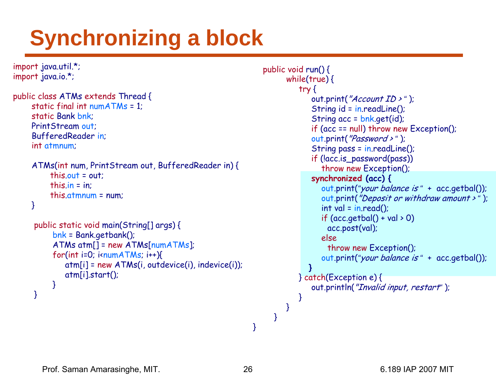# **Synchronizing a block**

```
import java.util.*;
import java.io.*;
public class ATMs extends Thread {
     static final int numATMs = 1;
     static Bank bnk;
    PrintStream out;
     BufferedReader in;
     int atmnum;
     ATMs(int num, PrintStream out, BufferedReader in) {
         this.out = out;
         this.in = in;
         this.atmnum = num;
    }
     public static void main(String[] args) {
           bnk = Bank.getbank();
          ATMs atm[] = new ATMs[numATMs];
          for(int i=0; i<br/>i-numATMs; i++){
              atm[i] = new ATMs(i, outdevice(i), indevice(i));
              atm[i].start();
          }
     }
                                                                    public void run() {
                                                                           while(true) {
                                                                              try {
                                                                                  out.print("Account ID > " );
                                                                                  String id = in.readLine();
                                                                                  String acc = bnk.get(id);
                                                                                  if (acc == null) throw new Exception();
                                                                                  out.print("Password >" );
                                                                                  String pass = in.readLine();
                                                                                  if (!acc.is_password(pass)) 
                                                                                     throw new Exception();
                                                                                  synchronized (acc) {
                                                                                     out.print("your balance is " + acc.getbal());
                                                                                     out.print("Deposit or withdraw amount > " );
                                                                                    int val = in.read();
                                                                                     if (\text{acc.getbal}() + \text{val} > 0)acc.post(val);
                                                                                     elsethrow new Exception();
                                                                                     out.print("your balance is " + acc.getbal());
                                                                                 }
                                                                              } catch(Exception e) {
                                                                                  out.println("Invalid input, restart" );
                                                                              }
                                                                           }
                                                                        }
                                                                  }
```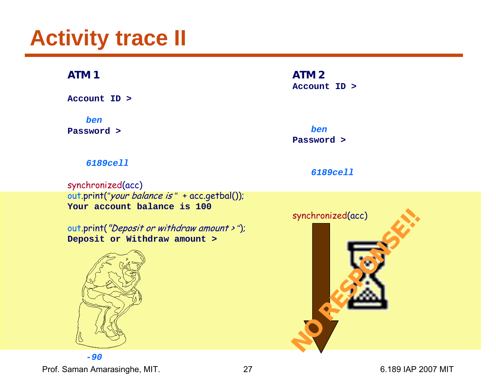#### **ATM 1**

**Account ID >**

*ben*

**Password >**

#### **ATM 2**

**Account ID >**

*ben***Password >**

*6189cell*

#### *6189cell*

synchronized(acc) out.print( *"*your balance is *"* + acc.getbal()); **Your account balance is 100**

out.print("Deposit or withdraw amount > *"*); **Deposit or Withdraw amount >**



synchronized(acc) synchronized(acc)

Prof. Saman Amarasinghe, MIT. 27 2007 27 6.189 IAP 2007 MIT **-***90*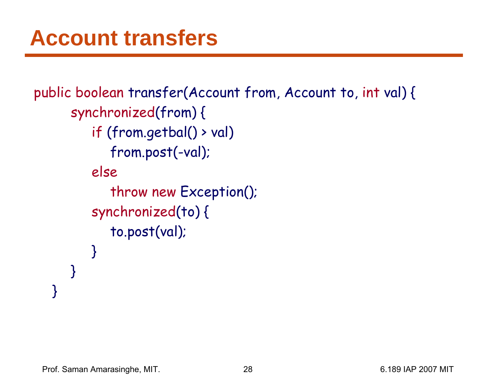```
public boolean transfer(Account from, Account to, int val) {
     synchronized(from) {
         if (from.getbal() > val)
            from.post(-val);
         else
            throw new Exception();
         synchronized(to) {
            to.post(val);
         }
      }
   }
```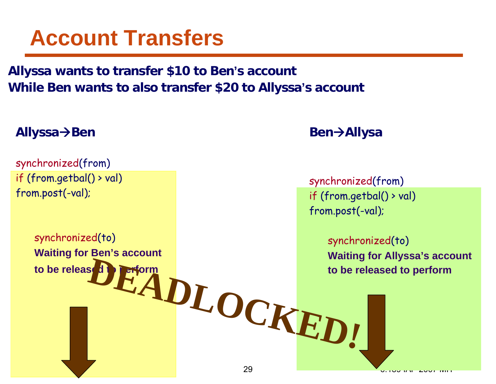#### **Account Transfers**

#### **Allyssa wants to transfer \$10 to Ben's account While Ben wants to also transfer \$20 to Allyssa'<sup>s</sup> account**

#### **Allyssa** Æ**Ben**

synchronized(from) if (from.getbal() > val) from.post(-val);

synchronized(to)

**to be released to** 

**Waiting for Ben's account** 

#### **Ben** Æ**Allysa**

synchronized(from) if (from.getbal() > val) from.post(-val);

synchronized(to) **Waiting for Allyssa's account to be released to perform** EADLOCKED!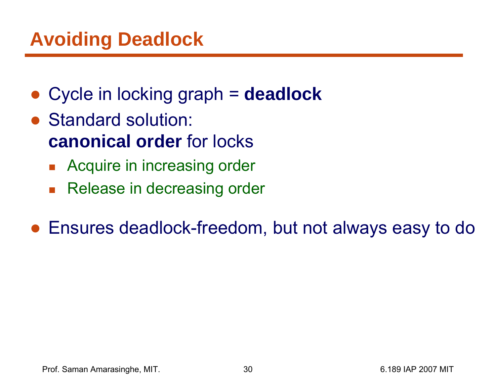#### **Avoiding Deadlock**

- ●Cycle in locking graph = **deadlock**
- Standard solution: **canonical order** for locks
	- $\overline{\phantom{a}}$ Acquire in increasing order
	- $\overline{\mathcal{L}}$ Release in decreasing order
- Ensures deadlock-freedom, but not always easy to do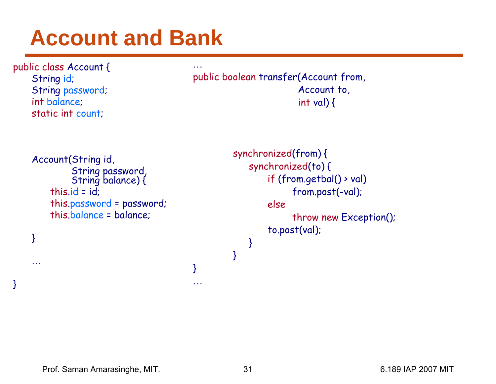## **Account and Bank**

…

}

…

```
public class Account {
    String id; 
    String password;
    int balance;
    static int count;
```
}

…

}

```
public boolean transfer(Account from, 
                        Account to, 
                        int val) \{
```

```
Account(String id, 
          String password, String balance) {
    this.id = id:
    this.password = password;
    this.balance = balance;
```

```
synchronized(from) {
   synchronized(to) {
        if (from.getbal() > val)
             from.post(-val);
        elsethrow new Exception();
        to.post(val);
   }
}
```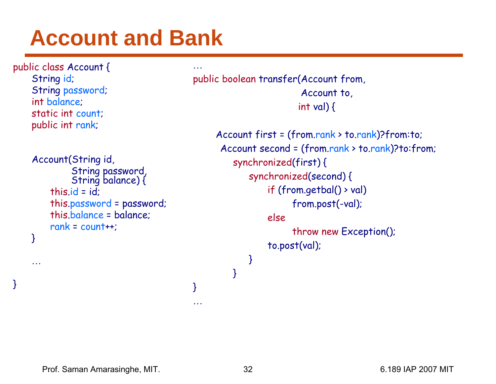## **Account and Bank**

…

}

…

```
public class Account {
    String id; 
    String password;
    int balance;
    static int count;
    public int rank;
    Account(String id, 
              String password, String balance) {
         this.id = id:
         this.password = password;
         this.balance = balance;
         rank = count++;
    }
    …
```
}

public boolean transfer(Account from, Account to, int val) {

> Account first = (from.rank > to.rank)?from:to; Account second = (from.rank > to.rank)?to:from; synchronized(first) { synchronized(second) { if (from.getbal() > val) from.post(-val); elsethrow new Exception(); to.post(val); } }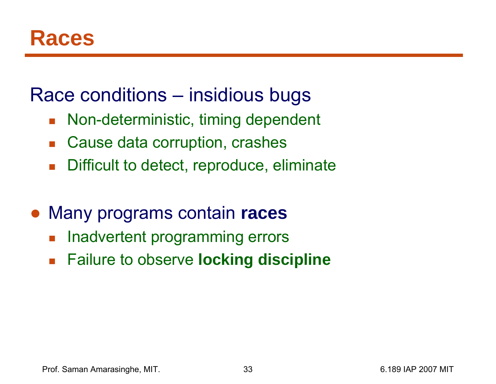#### Race conditions – insidious bugs

- $\mathcal{L}_{\text{max}}$ Non-deterministic, timing dependent
- $\mathbb{R}^n$ Cause data corruption, crashes
- $\mathcal{C}^{\mathcal{A}}$ Difficult to detect, reproduce, eliminate
- ● Many programs contain **races**
	- $\mathbb{R}^3$ Inadvertent programming errors
	- $\mathbb{Z}^2$ Failure to observe **locking discipline**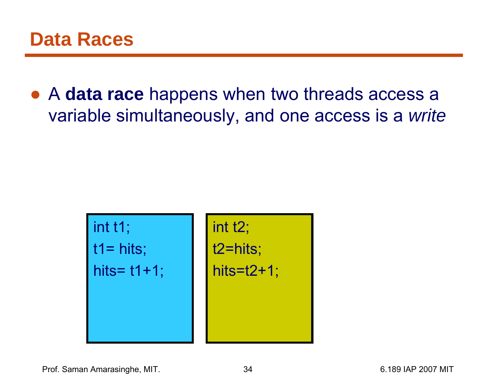● A **data race** happens when two threads access a variable simultaneously, and one access is a *write*

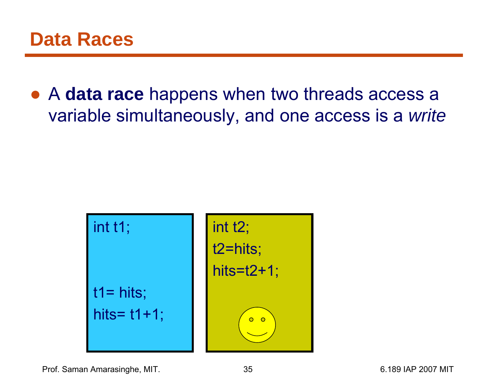● A **data race** happens when two threads access a variable simultaneously, and one access is a *write*



Prof. Saman Amarasinghe, MIT.  $\qquad \qquad 35$  8.189 IAP 2007 MIT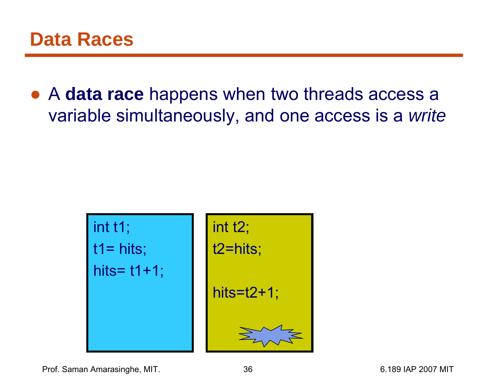● A **data race** happens when two threads access a variable simultaneously, and one access is a *write*



Prof. Saman Amarasinghe, MIT.  $\overline{36}$  36 6.189 IAP 2007 MIT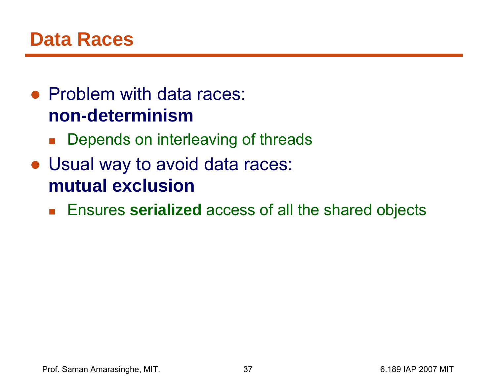#### **Data Races**

#### • Problem with data races: **non-determinism**

- **Depends on interleaving of threads**
- Usual way to avoid data races: **mutual exclusion**
	- Ensures serialized access of all the shared objects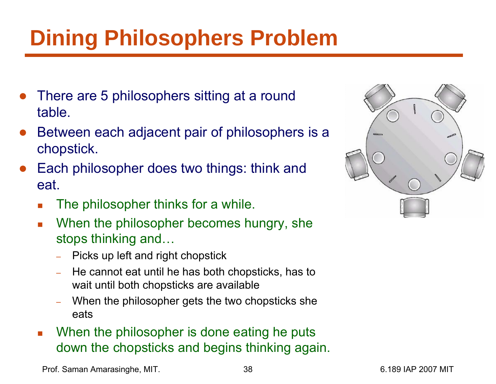# **Dining Philosophers Problem**

- $\bullet$  There are 5 philosophers sitting at a round table.
- $\bullet$  Between each adjacent pair of philosophers is a chopstick.
- $\bullet$  Each philosopher does two things: think and eat.
	- П The philosopher thinks for a while.
	- $\mathbb{R}^n$  When the philosopher becomes hungry, she stops thinking and…
		- –Picks up left and right chopstick
		- – He cannot eat until he has both chopsticks, has to wait until both chopsticks are available
		- – When the philosopher gets the two chopsticks she eats
	- When the philosopher is done eating he puts down the chopsticks and begins thinking again.



Prof. Saman Amarasinghe, MIT.  $\qquad \qquad 38$  6.189 IAP 2007 MIT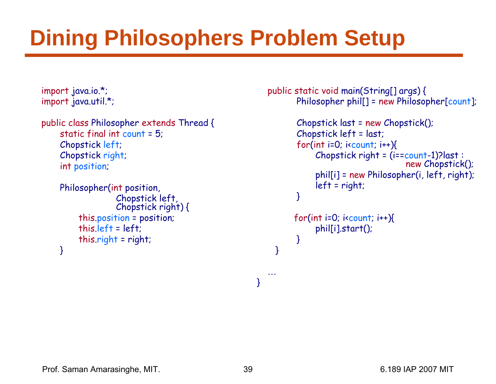# **Dining Philosophers Problem Setup**

```
import java.io.*;
import java.util.*;
```

```
public class Philosopher extends Thread {
    static final int count = 5;
    Chopstick left;
    Chopstick right;
    int position;
```

```
Philosopher(int position, 
                Chopstick left, Chopstick right) {
     this.position = position;
     this.left = left;
     this.right = right;
}
```
public static void main(String[] args) { Philosopher phil[] = new Philosopher[count];

```
Chopstick last = new Chopstick();
Chopstick left = last;
for(int i=0; i<br/>count; i++){
     Chopstick right = (i == count-1)? last :
                             new Chopstick();
     phil[i] = new Philosopher(i, left, right);
     left = right;
}
```

```
for(int i=0; i\longleftarrow icount; i++){
       phil[i].start();
 }
```
}

…

}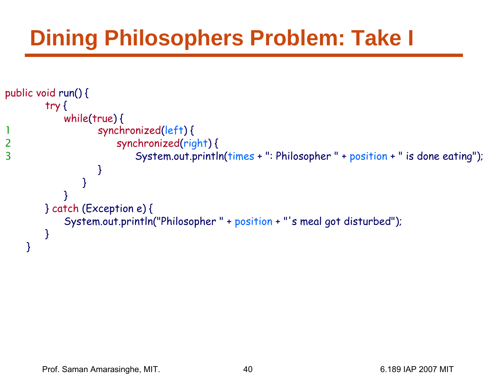# **Dining Philosophers Problem: Take I**

```
public void run() {
        try
{
           while
(true) {
11 Synchronized(left){
2 synchronized
(right) {
3 System.out.println(times +": Philosopher " + position +" is done eating");
                 }
               }
           }
       } catch (Exception e) {
           System.out.println("Philosopher " + position +"'s meal got disturbed");
       }
    }
```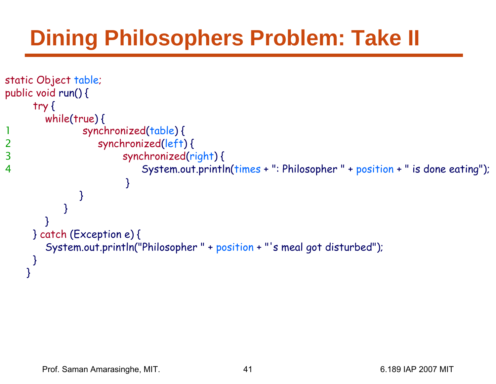# **Dining Philosophers Problem: Take II**

```
static Object table;
public void run() {
     try
{
       while
(true) {
1 synchronized
(table) {
2 synchronized
(left) {
3 synchronized
(right) {
4 System.out.println(times +": Philosopher " + position +" is done eating");
                      }
              }
           }
       }
     } catch (Exception e) {
       System.out.println("Philosopher " + position +"'s meal got disturbed");
     }
    }
```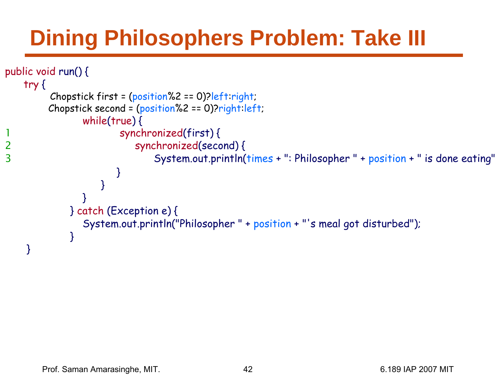# **Dining Philosophers Problem: Take III**

```
public void run() {
    try
{
          Chopstick first = (position%2 == 0)?left:right;
         Chopstick second = (position%2 == 0)?right:left;
                 while
(true) {
1 synchronized(first) {
2 synchronized(second) {
3 System.out.println(times +": Philosopher " + position +" is done eating"
                         }
                     }
                 }
              } catch (Exception e) {
                 System.out.println("Philosopher " + position +"'s meal got disturbed");
              }
     }
```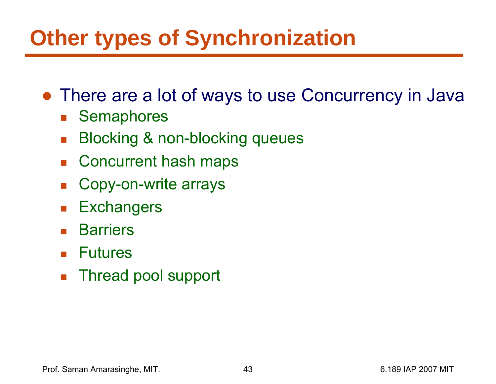## **Other types of Synchronization**

- There are a lot of ways to use Concurrency in Java
	- $\mathbb{R}^n$ **Semaphores**
	- $\mathcal{L}^{\mathcal{L}}$ Blocking & non-blocking queues
	- M. Concurrent hash maps
	- $\mathcal{L}(\mathcal{A})$ Copy-on-write arrays
	- $\mathcal{L}_{\text{max}}$ **Exchangers**
	- $\mathcal{L}_{\text{max}}$ **Barriers**
	- Futures
	- $\mathbb{R}^2$ Thread pool support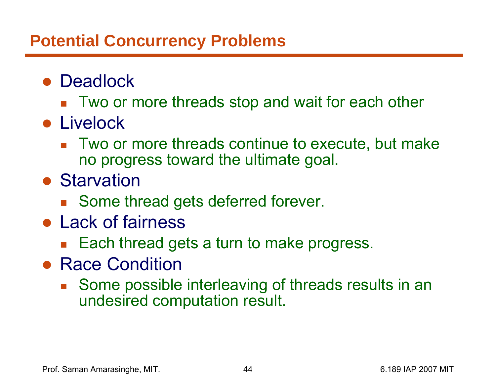#### **Potential Concurrency Problems**

- Deadlock
	- Two or more threads stop and wait for each other
- Livelock
	- Two or more threads continue to execute, but make no progress toward the ultimate goal.
- Starvation
	- Some thread gets deferred forever.
- Lack of fairness
	- Each thread gets a turn to make progress.
- Race Condition
	- $\mathbb{R}^2$  Some possible interleaving of threads results in an undesired computation result.